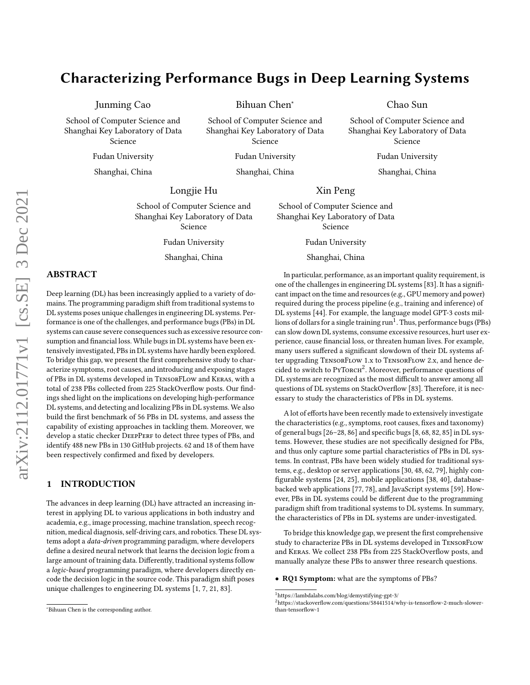# Characterizing Performance Bugs in Deep Learning Systems

Junming Cao

School of Computer Science and Shanghai Key Laboratory of Data Science

Fudan University

Shanghai, China

Bihuan Chen<sup>∗</sup>

School of Computer Science and Shanghai Key Laboratory of Data Science

Fudan University

Shanghai, China

# Longjie Hu

School of Computer Science and Shanghai Key Laboratory of Data Science

Fudan University

Shanghai, China

# ABSTRACT

Deep learning (DL) has been increasingly applied to a variety of domains. The programming paradigm shift from traditional systems to DL systems poses unique challenges in engineering DL systems. Performance is one of the challenges, and performance bugs (PBs) in DL systems can cause severe consequences such as excessive resource consumption and financial loss. While bugs in DL systems have been extensively investigated, PBs in DL systems have hardly been explored. To bridge this gap, we present the first comprehensive study to characterize symptoms, root causes, and introducing and exposing stages of PBs in DL systems developed in TensorFLow and Keras, with a total of 238 PBs collected from 225 StackOverflow posts. Our findings shed light on the implications on developing high-performance DL systems, and detecting and localizing PBs in DL systems. We also build the first benchmark of 56 PBs in DL systems, and assess the capability of existing approaches in tackling them. Moreover, we develop a static checker DEEPPERF to detect three types of PBs, and identify 488 new PBs in 130 GitHub projects. 62 and 18 of them have been respectively confirmed and fixed by developers.

# <span id="page-0-2"></span>1 INTRODUCTION

The advances in deep learning (DL) have attracted an increasing interest in applying DL to various applications in both industry and academia, e.g., image processing, machine translation, speech recognition, medical diagnosis, self-driving cars, and robotics. These DL systems adopt a data-driven programming paradigm, where developers define a desired neural network that learns the decision logic from a large amount of training data. Differently, traditional systems follow a logic-based programming paradigm, where developers directly encode the decision logic in the source code. This paradigm shift poses unique challenges to engineering DL systems [\[1,](#page-10-0) [7,](#page-10-1) [21,](#page-11-0) [83\]](#page-12-0).

Xin Peng

School of Computer Science and Shanghai Key Laboratory of Data Science

Fudan University

Shanghai, China

In particular, performance, as an important quality requirement, is one of the challenges in engineering DL systems [\[83\]](#page-12-0). It has a significant impact on the time and resources (e.g., GPU memory and power) required during the process pipeline (e.g., training and inference) of DL systems [\[44\]](#page-11-1). For example, the language model GPT-3 costs mil- $\frac{1}{100}$  $\frac{1}{100}$  $\frac{1}{100}$  is of dollars for a single training run<sup>1</sup>. Thus, performance bugs (PBs) can slow down DL systems, consume excessive resources, hurt user experience, cause financial loss, or threaten human lives. For example, many users suffered a significant slowdown of their DL systems after upgrading TensorFlow 1.x to TensorFlow 2.x, and hence de- $\frac{1}{2}$  $\frac{1}{2}$  $\frac{1}{2}$  cided to switch to PyTorch<sup>2</sup>. Moreover, performance questions of DL systems are recognized as the most difficult to answer among all questions of DL systems on StackOverflow [\[83\]](#page-12-0). Therefore, it is necessary to study the characteristics of PBs in DL systems.

Chao Sun School of Computer Science and Shanghai Key Laboratory of Data Science Fudan University Shanghai, China

A lot of efforts have been recently made to extensively investigate the characteristics (e.g., symptoms, root causes, fixes and taxonomy) of general bugs [\[26–](#page-11-2)[28,](#page-11-3) [86\]](#page-12-1) and specific bugs [\[8,](#page-10-2) [68,](#page-12-2) [82,](#page-12-3) [85\]](#page-12-4) in DL systems. However, these studies are not specifically designed for PBs, and thus only capture some partial characteristics of PBs in DL systems. In contrast, PBs have been widely studied for traditional systems, e.g., desktop or server applications [\[30,](#page-11-4) [48,](#page-11-5) [62,](#page-12-5) [79\]](#page-12-6), highly configurable systems [\[24,](#page-11-6) [25\]](#page-11-7), mobile applications [\[38,](#page-11-8) [40\]](#page-11-9), databasebacked web applications [\[77,](#page-12-7) [78\]](#page-12-8), and JavaScript systems [\[59\]](#page-12-9). However, PBs in DL systems could be different due to the programming paradigm shift from traditional systems to DL systems. In summary, the characteristics of PBs in DL systems are under-investigated.

To bridge this knowledge gap, we present the first comprehensive study to characterize PBs in DL systems developed in TensorFlow and Keras. We collect 238 PBs from 225 StackOverflow posts, and manually analyze these PBs to answer three research questions.

• RQ1 Symptom: what are the symptoms of PBs?

<sup>∗</sup>Bihuan Chen is the corresponding author.

<span id="page-0-0"></span> $^1$ https://lambdalabs.com/blog/demystifying-gpt-3/

<span id="page-0-1"></span><sup>2</sup>https://stackoverflow.com/questions/58441514/why-is-tensorflow-2-much-slowerthan-tensorflow-1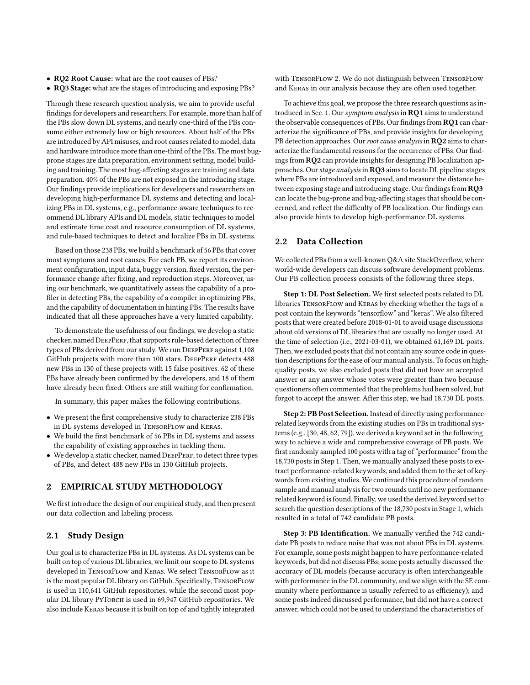- RQ2 Root Cause: what are the root causes of PBs?
- RQ3 Stage: what are the stages of introducing and exposing PBs?

Through these research question analysis, we aim to provide useful findings for developers and researchers. For example, more than half of the PBs slow down DL systems, and nearly one-third of the PBs consume either extremely low or high resources. About half of the PBs are introduced by API misuses, and root causes related to model, data and hardware introduce more than one-third of the PBs. The most bugprone stages are data preparation, environment setting, model building and training. The most bug-affecting stages are training and data preparation. 40% of the PBs are not exposed in the introducing stage. Our findings provide implications for developers and researchers on developing high-performance DL systems and detecting and localizing PBs in DL systems, e.g., performance-aware techniques to recommend DL library APIs and DL models, static techniques to model and estimate time cost and resource consumption of DL systems, and rule-based techniques to detect and localize PBs in DL systems.

Based on those 238 PBs, we build a benchmark of 56 PBs that cover most symptoms and root causes. For each PB, we report its environment configuration, input data, buggy version, fixed version, the performance change after fixing, and reproduction steps. Moreover, using our benchmark, we quantitatively assess the capability of a profiler in detecting PBs, the capability of a compiler in optimizing PBs, and the capability of documentation in hinting PBs. The results have indicated that all these approaches have a very limited capability.

To demonstrate the usefulness of our findings, we develop a static checker, named DEEPPERF, that supports rule-based detection of three types of PBs derived from our study. We run DEEPPERF against 1,108 GitHub projects with more than 100 stars. DEEPPERF detects 488 new PBs in 130 of these projects with 15 false positives. 62 of these PBs have already been confirmed by the developers, and 18 of them have already been fixed. Others are still waiting for confirmation.

In summary, this paper makes the following contributions.

- We present the first comprehensive study to characterize 238 PBs in DL systems developed in TensorFlow and Keras.
- We build the first benchmark of 56 PBs in DL systems and assess the capability of existing approaches in tackling them.
- We develop a static checker, named DEEPPERF, to detect three types of PBs, and detect 488 new PBs in 130 GitHub projects.

# 2 EMPIRICAL STUDY METHODOLOGY

We first introduce the design of our empirical study, and then present our data collection and labeling process.

## 2.1 Study Design

Our goal is to characterize PBs in DL systems. As DL systems can be built on top of various DL libraries, we limit our scope to DL systems developed in TensorFlow and Keras. We select TensorFlow as it is the most popular DL library on GitHub. Specifically, TENSORFLOW is used in 110,641 GitHub repositories, while the second most popular DL library PYTORCH is used in 69,947 GitHub repositories. We also include Keras because it is built on top of and tightly integrated

with TensorFlow 2. We do not distinguish between TensorFlow and Keras in our analysis because they are often used together.

To achieve this goal, we propose the three research questions as in-troduced in Sec. [1.](#page-0-2) Our symptom analysis in RQ1 aims to understand the observable consequences of PBs. Our findings from RQ1 can characterize the significance of PBs, and provide insights for developing PB detection approaches. Our root cause analysis in RQ2 aims to characterize the fundamental reasons for the occurrence of PBs. Our findings from RQ2 can provide insights for designing PB localization approaches. Our stage analysis in RQ3 aims to locate DL pipeline stages where PBs are introduced and exposed, and measure the distance between exposing stage and introducing stage. Our findings from RQ3 can locate the bug-prone and bug-affecting stages that should be concerned, and reflect the difficulty of PB localization. Our findings can also provide hints to develop high-performance DL systems.

## 2.2 Data Collection

We collected PBs from a well-known Q&A site StackOverflow, where world-wide developers can discuss software development problems. Our PB collection process consists of the following three steps.

Step 1: DL Post Selection. We first selected posts related to DL libraries TensorFlow and Keras by checking whether the tags of a post contain the keywords "tensorflow" and "keras". We also filtered posts that were created before 2018-01-01 to avoid usage discussions about old versions of DL libraries that are usually no longer used. At the time of selection (i.e., 2021-03-01), we obtained 61,169 DL posts. Then, we excluded posts that did not contain any source code in question descriptions for the ease of our manual analysis. To focus on highquality posts, we also excluded posts that did not have an accepted answer or any answer whose votes were greater than two because questioners often commented that the problems had been solved, but forgot to accept the answer. After this step, we had 18,730 DL posts.

Step 2: PB Post Selection. Instead of directly using performancerelated keywords from the existing studies on PBs in traditional systems (e.g., [\[30,](#page-11-4) [48,](#page-11-5) [62,](#page-12-5) [79\]](#page-12-6)), we derived a keyword set in the following way to achieve a wide and comprehensive coverage of PB posts. We first randomly sampled 100 posts with a tag of "performance" from the 18,730 posts in Step 1. Then, we manually analyzed these posts to extract performance-related keywords, and added them to the set of keywords from existing studies. We continued this procedure of random sample and manual analysis for two rounds until no new performancerelated keyword is found. Finally, we used the derived keyword set to search the question descriptions of the 18,730 posts in Stage 1, which resulted in a total of 742 candidate PB posts.

Step 3: PB Identification. We manually verified the 742 candidate PB posts to reduce noise that was not about PBs in DL systems. For example, some posts might happen to have performance-related keywords, but did not discuss PBs; some posts actually discussed the accuracy of DL models (because accuracy is often interchangeable with performance in the DL community, and we align with the SE community where performance is usually referred to as efficiency); and some posts indeed discussed performance, but did not have a correct answer, which could not be used to understand the characteristics of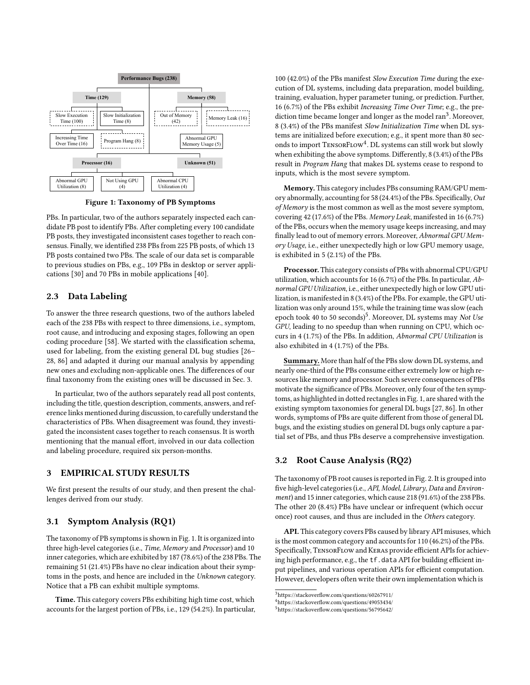<span id="page-2-1"></span>

Figure 1: Taxonomy of PB Symptoms

PBs. In particular, two of the authors separately inspected each candidate PB post to identify PBs. After completing every 100 candidate PB posts, they investigated inconsistent cases together to reach consensus. Finally, we identified 238 PBs from 225 PB posts, of which 13 PB posts contained two PBs. The scale of our data set is comparable to previous studies on PBs, e.g., 109 PBs in desktop or server applications [\[30\]](#page-11-4) and 70 PBs in mobile applications [\[40\]](#page-11-9).

## 2.3 Data Labeling

To answer the three research questions, two of the authors labeled each of the 238 PBs with respect to three dimensions, i.e., symptom, root cause, and introducing and exposing stages, following an open coding procedure [\[58\]](#page-12-10). We started with the classification schema, used for labeling, from the existing general DL bug studies [\[26–](#page-11-2) [28,](#page-11-3) [86\]](#page-12-1) and adapted it during our manual analysis by appending new ones and excluding non-applicable ones. The differences of our final taxonomy from the existing ones will be discussed in Sec. [3.](#page-2-0)

In particular, two of the authors separately read all post contents, including the title, question description, comments, answers, and reference links mentioned during discussion, to carefully understand the characteristics of PBs. When disagreement was found, they investigated the inconsistent cases together to reach consensus. It is worth mentioning that the manual effort, involved in our data collection and labeling procedure, required six person-months.

## <span id="page-2-0"></span>3 EMPIRICAL STUDY RESULTS

We first present the results of our study, and then present the challenges derived from our study.

## 3.1 Symptom Analysis (RQ1)

The taxonomy of PB symptoms is shown in Fig. [1.](#page-2-1) It is organized into three high-level categories (i.e., Time, Memory and Processor) and 10 inner categories, which are exhibited by 187 (78.6%) of the 238 PBs. The remaining 51 (21.4%) PBs have no clear indication about their symptoms in the posts, and hence are included in the Unknown category. Notice that a PB can exhibit multiple symptoms.

Time. This category covers PBs exhibiting high time cost, which accounts for the largest portion of PBs, i.e., 129 (54.2%). In particular, 100 (42.0%) of the PBs manifest Slow Execution Time during the execution of DL systems, including data preparation, model building, training, evaluation, hyper parameter tuning, or prediction. Further, 16 (6.7%) of the PBs exhibit Increasing Time Over Time; e.g., the pre- $\det$  diction time became longer and longer as the model ran<sup>[3](#page-2-2)</sup>. Moreover, 8 (3.4%) of the PBs manifest Slow Initialization Time when DL systems are initialized before execution; e.g., it spent more than 80 seconds to import TensorFlow[4](#page-2-3) . DL systems can still work but slowly when exhibiting the above symptoms. Differently, 8 (3.4%) of the PBs result in Program Hang that makes DL systems cease to respond to inputs, which is the most severe symptom.

Memory. This category includes PBs consuming RAM/GPU memory abnormally, accounting for 58 (24.4%) of the PBs. Specifically, Out of Memory is the most common as well as the most severe symptom, covering 42 (17.6%) of the PBs. Memory Leak, manifested in 16 (6.7%) of the PBs, occurs when the memory usage keeps increasing, and may finally lead to out of memory errors. Moreover, Abnormal GPU Memory Usage, i.e., either unexpectedly high or low GPU memory usage, is exhibited in 5 (2.1%) of the PBs.

Processor. This category consists of PBs with abnormal CPU/GPU utilization, which accounts for 16 (6.7%) of the PBs. In particular, Abnormal GPU Utilization, i.e., either unexpectedly high or low GPU utilization, is manifested in 8 (3.4%) of the PBs. For example, the GPU utilization was only around 15%, while the training time was slow (each epoch took 40 to [5](#page-2-4)0 seconds)<sup>5</sup>. Moreover, DL systems may Not Use GPU, leading to no speedup than when running on CPU, which occurs in 4 (1.7%) of the PBs. In addition, Abnormal CPU Utilization is also exhibited in 4 (1.7%) of the PBs.

Summary. More than half of the PBs slow down DL systems, and nearly one-third of the PBs consume either extremely low or high resources like memory and processor. Such severe consequences of PBs motivate the significance of PBs. Moreover, only four of the ten symptoms, as highlighted in dotted rectangles in Fig. [1,](#page-2-1) are shared with the existing symptom taxonomies for general DL bugs [\[27,](#page-11-10) [86\]](#page-12-1). In other words, symptoms of PBs are quite different from those of general DL bugs, and the existing studies on general DL bugs only capture a partial set of PBs, and thus PBs deserve a comprehensive investigation.

## 3.2 Root Cause Analysis (RQ2)

The taxonomy of PB root causes is reported in Fig. [2.](#page-3-0) It is grouped into five high-level categories (i.e., API, Model, Library, Data and Environment) and 15 inner categories, which cause 218 (91.6%) of the 238 PBs. The other 20 (8.4%) PBs have unclear or infrequent (which occur once) root causes, and thus are included in the Others category.

API. This category covers PBs caused by library API misuses, which is the most common category and accounts for 110 (46.2%) of the PBs. Specifically, TENSORFLOW and KERAS provide efficient APIs for achieving high performance, e.g., the tf.data API for building efficient input pipelines, and various operation APIs for efficient computation. However, developers often write their own implementation which is

<span id="page-2-3"></span><span id="page-2-2"></span> $^3$ https://stackoverflow.com/questions/60267911/

<sup>4</sup>https://stackoverflow.com/questions/49053434/

<span id="page-2-4"></span><sup>5</sup>https://stackoverflow.com/questions/56795642/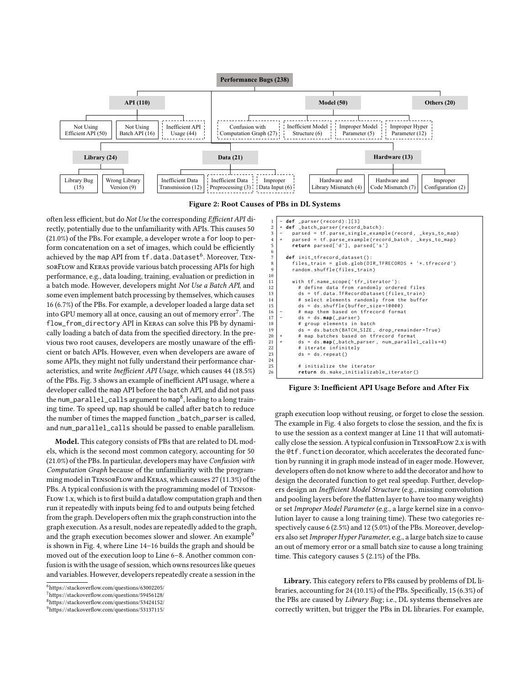<span id="page-3-0"></span>



often less efficient, but do Not Use the corresponding Efficient API directly, potentially due to the unfamiliarity with APIs. This causes 50 (21.0%) of the PBs. For example, a developer wrote a for loop to perform concatenation on a set of images, which could be efficiently achieved by the map API from  $\operatorname{tf.data.Dataset}^6$  $\operatorname{tf.data.Dataset}^6$ . Moreover, TENsorFlow and Keras provide various batch processing APIs for high performance, e.g., data loading, training, evaluation or prediction in a batch mode. However, developers might Not Use a Batch API, and some even implement batch processing by themselves, which causes 16 (6.7%) of the PBs. For example, a developer loaded a large data set into GPU memory all at once, causing an out of memory  $erfor^7$  $erfor^7$ . The flow\_from\_directory API in Keras can solve this PB by dynamically loading a batch of data from the specified directory. In the previous two root causes, developers are mostly unaware of the efficient or batch APIs. However, even when developers are aware of some APIs, they might not fully understand their performance characteristics, and write Inefficient API Usage, which causes 44 (18.5%) of the PBs. Fig. [3](#page-3-3) shows an example of inefficient API usage, where a developer called the map API before the batch API, and did not pass the num\_parallel\_calls argument to map<sup>[8](#page-3-4)</sup>, leading to a long training time. To speed up, map should be called after batch to reduce the number of times the mapped function \_batch\_parser is called, and num\_parallel\_calls should be passed to enable parallelism.

Model. This category consists of PBs that are related to DL models, which is the second most common category, accounting for 50 (21.0%) of the PBs. In particular, developers may have Confusion with Computation Graph because of the unfamiliarity with the programming model in TensorFlow and Keras, which causes 27 (11.3%) of the PBs. A typical confusion is with the programming model of Tensor-Flow 1.x, which is to first build a dataflow computation graph and then run it repeatedly with inputs being fed to and outputs being fetched from the graph. Developers often mix the graph construction into the graph execution. As a result, nodes are repeatedly added to the graph, and the graph execution becomes slower and slower. An example<sup>[9](#page-3-5)</sup> is shown in Fig. [4,](#page-4-0) where Line 14–16 builds the graph and should be moved out of the execution loop to Line 6–8. Another common confusion is with the usage of session, which owns resources like queues and variables. However, developers repeatedly create a session in the

<span id="page-3-3"></span>

| 1<br>$\overline{2}$ | - def _parser(record):][3]<br>+ def _batch_parser(record_batch):                                                    |
|---------------------|---------------------------------------------------------------------------------------------------------------------|
| 3                   | parsed = tf.parse_single_example(record, _keys_to_map)                                                              |
| $\overline{4}$      | parsed = tf.parse_example(record_batch, _keys_to_map)<br>$\ddot{}$                                                  |
| 5                   | return parsed['d'], parsed['s']                                                                                     |
| 6                   |                                                                                                                     |
| 7                   | def init_tfrecord_dataset():                                                                                        |
| 8                   | $files_{train} = glob_{glob(DIR_{TFRECORDS + '*.tfrecord')$                                                         |
| 9                   | random.shuffle(files_train)                                                                                         |
| 10                  |                                                                                                                     |
| 11                  | with tf.name_scope('tfr_iterator'):                                                                                 |
| 12                  | # define data from randomly ordered files                                                                           |
| 13                  | ds = tf.data.TFRecordDataset(files_train)                                                                           |
| 14                  | # select elements randomly from the buffer                                                                          |
| 15                  | $ds = ds$ .shuffle(buffer_size=10000)                                                                               |
| 16                  | # map them based on tfrecord format<br>-                                                                            |
| 17                  | $ds = ds \cdot map(\_parser)$<br>-                                                                                  |
| 18<br>19            | # group elements in batch                                                                                           |
| 20                  | $ds = ds$ .batch(BATCH_SIZE, drop_remainder=True)<br>$\ddot{}$                                                      |
| 21                  | # map batches based on tfrecord format<br>$ds = ds \cdot map(\_batch\_parser, num\_parallel\_cells=4)$<br>$\ddot{}$ |
| 22                  | # iterate infinitely                                                                                                |
| 23                  | $ds = ds.\nrepeat()$                                                                                                |
| 24                  |                                                                                                                     |
| 25                  | # initialize the iterator                                                                                           |
| 26                  | return ds.make_initializable_iterator()                                                                             |
|                     |                                                                                                                     |

Figure 3: Inefficient API Usage Before and After Fix

graph execution loop without reusing, or forget to close the session. The example in Fig. [4](#page-4-0) also forgets to close the session, and the fix is to use the session as a context manger at Line 11 that will automatically close the session. A typical confusion in TENSORFLOW 2.x is with the @tf.function decorator, which accelerates the decorated function by running it in graph mode instead of in eager mode. However, developers often do not know where to add the decorator and how to design the decorated function to get real speedup. Further, developers design an Inefficient Model Structure (e.g., missing convolution and pooling layers before the flatten layer to have too many weights) or set Improper Model Parameter (e.g., a large kernel size in a convolution layer to cause a long training time). These two categories respectively cause 6 (2.5%) and 12 (5.0%) of the PBs. Moreover, developers also set Improper Hyper Parameter, e.g., a large batch size to cause an out of memory error or a small batch size to cause a long training time. This category causes 5 (2.1%) of the PBs.

Library. This category refers to PBs caused by problems of DL libraries, accounting for 24 (10.1%) of the PBs. Specifically, 15 (6.3%) of the PBs are caused by Library Bug; i.e., DL systems themselves are correctly written, but trigger the PBs in DL libraries. For example,

<span id="page-3-1"></span><sup>6</sup>https://stackoverflow.com/questions/63002205/

<span id="page-3-2"></span><sup>7</sup>https://stackoverflow.com/questions/59456128/

<span id="page-3-4"></span><sup>8</sup>https://stackoverflow.com/questions/53424152/

<span id="page-3-5"></span><sup>9</sup>https://stackoverflow.com/questions/53137115/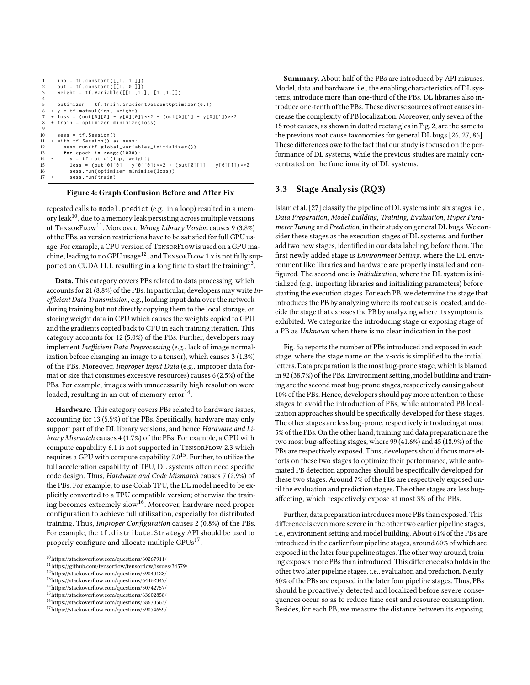```
\begin{array}{c} 1 \\ 2 \end{array} inp = tf.constant([[1.,1.]])<br>2 out = tf.constant([[1.,0.]])
 2 out = tf.constant([[1., 0.]])<br>3 weight = tf.Variable([[1., 1.]], [1., 1.]])
 4
 5 optimizer = tf . train . GradientDescentOptimizer (0.1)
  6 + y = tf . matmul ( inp , weight )
7 + loss = ( out [0][0] - y [0][0]) **2 + ( out [0][1] - y [0][1]) **2
      8 + train = optimizer . minimize ( loss )
 \begin{array}{c} 8 \\ 9 \end{array}10 - sess = tf. Session ()<br>11 + with tf. Session () a
11 | + with tf. Session () as sess:<br>12 | sess.run (tf. global_variables_initializer())
13 for epoch in range (1000):<br>
14 - y = tf.matmul(inp, weig<br>
15 - loss = (out[0][0] - y[0
14 - y = tf . matmul ( inp , weight )
15 - loss = ( out [0][0] - y [0][0]) **2 + ( out [0][1] - y [0][1]) **2
16 - sess.run (optimizer.minimize(loss))
17 + sess.run (train)
```
#### Figure 4: Graph Confusion Before and After Fix

repeated calls to model.predict (e.g., in a loop) resulted in a memory leak $^{10}$  $^{10}$  $^{10}$ , due to a memory leak persisting across multiple versions of TensorFlow[11](#page-4-2). Moreover, Wrong Library Version causes 9 (3.8%) of the PBs, as version restrictions have to be satisfied for full GPU usage. For example, a CPU version of TensorFlow is used on a GPU machine, leading to no GPU usage  $^{12}$  $^{12}$  $^{12}$  ; and TENSORFLOW 1.x is not fully supported on CUDA 11.1, resulting in a long time to start the training  $13$ .

Data. This category covers PBs related to data processing, which accounts for 21 (8.8%) of the PBs. In particular, developers may write Inefficient Data Transmission, e.g., loading input data over the network during training but not directly copying them to the local storage, or storing weight data in CPU which causes the weights copied to GPU and the gradients copied back to CPU in each training iteration. This category accounts for 12 (5.0%) of the PBs. Further, developers may implement Inefficient Data Preprocessing (e.g., lack of image normalization before changing an image to a tensor), which causes 3 (1.3%) of the PBs. Moreover, Improper Input Data (e.g., improper data format or size that consumes excessive resources) causes 6 (2.5%) of the PBs. For example, images with unnecessarily high resolution were loaded, resulting in an out of memory error  $14$ .

Hardware. This category covers PBs related to hardware issues, accounting for 13 (5.5%) of the PBs. Specifically, hardware may only support part of the DL library versions, and hence Hardware and Library Mismatch causes 4 (1.7%) of the PBs. For example, a GPU with compute capability 6.1 is not supported in TensorFlow 2.3 which requires a GPU with compute capability  $7.0^{15}$  $7.0^{15}$  $7.0^{15}$ . Further, to utilize the full acceleration capability of TPU, DL systems often need specific code design. Thus, Hardware and Code Mismatch causes 7 (2.9%) of the PBs. For example, to use Colab TPU, the DL model need to be explicitly converted to a TPU compatible version; otherwise the train-ing becomes extremely slow<sup>[16](#page-4-7)</sup>. Moreover, hardware need proper configuration to achieve full utilization, especially for distributed training. Thus, Improper Configuration causes 2 (0.8%) of the PBs. For example, the tf.distribute.Strategy API should be used to properly configure and allocate multiple GPUs<sup>[17](#page-4-8)</sup>.

Summary. About half of the PBs are introduced by API misuses. Model, data and hardware, i.e., the enabling characteristics of DL systems, introduce more than one-third of the PBs. DL libraries also introduce one-tenth of the PBs. These diverse sources of root causes increase the complexity of PB localization. Moreover, only seven of the 15 root causes, as shown in dotted rectangles in Fig. [2,](#page-3-0) are the same to the previous root cause taxonomies for general DL bugs [\[26,](#page-11-2) [27,](#page-11-10) [86\]](#page-12-1). These differences owe to the fact that our study is focused on the performance of DL systems, while the previous studies are mainly concentrated on the functionality of DL systems.

## 3.3 Stage Analysis (RQ3)

Islam et al. [\[27\]](#page-11-10) classify the pipeline of DL systems into six stages, i.e., Data Preparation, Model Building, Training, Evaluation, Hyper Parameter Tuning and Prediction, in their study on general DL bugs. We consider these stages as the execution stages of DL systems, and further add two new stages, identified in our data labeling, before them. The first newly added stage is Environment Setting, where the DL environment like libraries and hardware are properly installed and configured. The second one is Initialization, where the DL system is initialized (e.g., importing libraries and initializing parameters) before starting the execution stages. For each PB, we determine the stage that introduces the PB by analyzing where its root cause is located, and decide the stage that exposes the PB by analyzing where its symptom is exhibited. We categorize the introducing stage or exposing stage of a PB as Unknown when there is no clear indication in the post.

Fig. [5a](#page-5-0) reports the number of PBs introduced and exposed in each stage, where the stage name on the  $x$ -axis is simplified to the initial letters. Data preparation is the most bug-prone stage, which is blamed in 92 (38.7%) of the PBs. Environment setting, model building and training are the second most bug-prone stages, respectively causing about 10% of the PBs. Hence, developers should pay more attention to these stages to avoid the introduction of PBs, while automated PB localization approaches should be specifically developed for these stages. The other stages are less bug-prone, respectively introducing at most 5% of the PBs. On the other hand, training and data preparation are the two most bug-affecting stages, where 99 (41.6%) and 45 (18.9%) of the PBs are respectively exposed. Thus, developers should focus more efforts on these two stages to optimize their performance, while automated PB detection approaches should be specifically developed for these two stages. Around 7% of the PBs are respectively exposed until the evaluation and prediction stages. The other stages are less bugaffecting, which respectively expose at most 3% of the PBs.

Further, data preparation introduces more PBs than exposed. This difference is even more severe in the other two earlier pipeline stages, i.e., environment setting and model building. About 61% of the PBs are introduced in the earlier four pipeline stages, around 60% of which are exposed in the later four pipeline stages. The other way around, training exposes more PBs than introduced. This difference also holds in the other two later pipeline stages, i.e., evaluation and prediction. Nearly 60% of the PBs are exposed in the later four pipeline stages. Thus, PBs should be proactively detected and localized before severe consequences occur so as to reduce time cost and resource consumption. Besides, for each PB, we measure the distance between its exposing

<span id="page-4-1"></span> $^{10}\rm{https://stackoverflow.com/questions/60267911/}$ 

<span id="page-4-2"></span><sup>11</sup>https://github.com/tensorflow/tensorflow/issues/34579/

<span id="page-4-3"></span><sup>12</sup>https://stackoverflow.com/questions/59040128/

<span id="page-4-4"></span><sup>13</sup>https://stackoverflow.com/questions/64462347/

<span id="page-4-5"></span><sup>14</sup>https://stackoverflow.com/questions/50742757/

<span id="page-4-6"></span><sup>15</sup>https://stackoverflow.com/questions/63602858/

<span id="page-4-7"></span><sup>16</sup>https://stackoverflow.com/questions/58670563/

<span id="page-4-8"></span><sup>17</sup>https://stackoverflow.com/questions/59074659/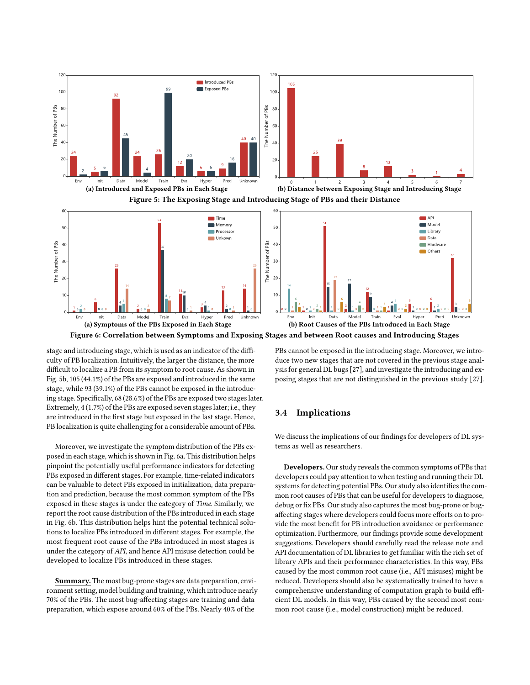<span id="page-5-0"></span>

<span id="page-5-1"></span>Figure 6: Correlation between Symptoms and Exposing Stages and between Root causes and Introducing Stages

stage and introducing stage, which is used as an indicator of the difficulty of PB localization. Intuitively, the larger the distance, the more difficult to localize a PB from its symptom to root cause. As shown in Fig. [5b,](#page-5-0) 105 (44.1%) of the PBs are exposed and introduced in the same stage, while 93 (39.1%) of the PBs cannot be exposed in the introducing stage. Specifically, 68 (28.6%) of the PBs are exposed two stages later. Extremely, 4 (1.7%) of the PBs are exposed seven stages later; i.e., they are introduced in the first stage but exposed in the last stage. Hence, PB localization is quite challenging for a considerable amount of PBs.

Moreover, we investigate the symptom distribution of the PBs exposed in each stage, which is shown in Fig. [6a.](#page-5-1) This distribution helps pinpoint the potentially useful performance indicators for detecting PBs exposed in different stages. For example, time-related indicators can be valuable to detect PBs exposed in initialization, data preparation and prediction, because the most common symptom of the PBs exposed in these stages is under the category of Time. Similarly, we report the root cause distribution of the PBs introduced in each stage in Fig. [6b.](#page-5-1) This distribution helps hint the potential technical solutions to localize PBs introduced in different stages. For example, the most frequent root cause of the PBs introduced in most stages is under the category of API, and hence API misuse detection could be developed to localize PBs introduced in these stages.

Summary. The most bug-prone stages are data preparation, environment setting, model building and training, which introduce nearly 70% of the PBs. The most bug-affecting stages are training and data preparation, which expose around 60% of the PBs. Nearly 40% of the

PBs cannot be exposed in the introducing stage. Moreover, we introduce two new stages that are not covered in the previous stage analysis for general DL bugs [\[27\]](#page-11-10), and investigate the introducing and exposing stages that are not distinguished in the previous study [\[27\]](#page-11-10).

# 3.4 Implications

We discuss the implications of our findings for developers of DL systems as well as researchers.

Developers. Our study reveals the common symptoms of PBs that developers could pay attention to when testing and running their DL systems for detecting potential PBs. Our study also identifies the common root causes of PBs that can be useful for developers to diagnose, debug or fix PBs. Our study also captures the most bug-prone or bugaffecting stages where developers could focus more efforts on to provide the most benefit for PB introduction avoidance or performance optimization. Furthermore, our findings provide some development suggestions. Developers should carefully read the release note and API documentation of DL libraries to get familiar with the rich set of library APIs and their performance characteristics. In this way, PBs caused by the most common root cause (i.e., API misuses) might be reduced. Developers should also be systematically trained to have a comprehensive understanding of computation graph to build efficient DL models. In this way, PBs caused by the second most common root cause (i.e., model construction) might be reduced.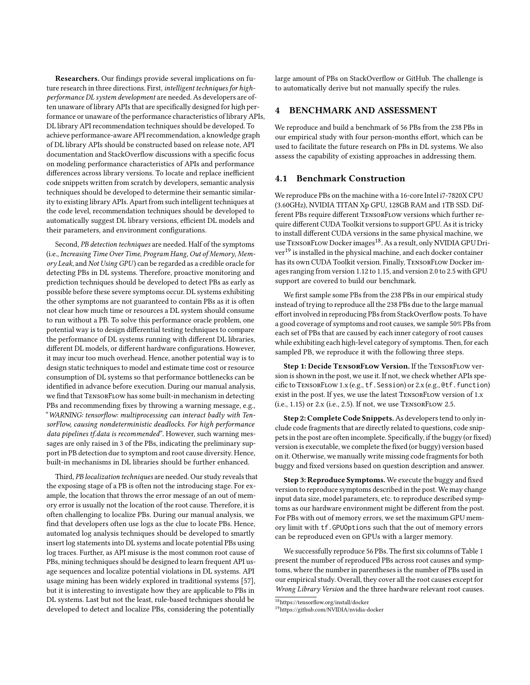Researchers. Our findings provide several implications on future research in three directions. First, intelligent techniques for highperformance DL system development are needed. As developers are often unaware of library APIs that are specifically designed for high performance or unaware of the performance characteristics of library APIs, DL library API recommendation techniques should be developed. To achieve performance-aware API recommendation, a knowledge graph of DL library APIs should be constructed based on release note, API documentation and StackOverflow discussions with a specific focus on modeling performance characteristics of APIs and performance differences across library versions. To locate and replace inefficient code snippets written from scratch by developers, semantic analysis techniques should be developed to determine their semantic similarity to existing library APIs. Apart from such intelligent techniques at the code level, recommendation techniques should be developed to automatically suggest DL library versions, efficient DL models and their parameters, and environment configurations.

Second, PB detection techniques are needed. Half of the symptoms (i.e., Increasing Time Over Time, Program Hang, Out of Memory, Memory Leak, and Not Using GPU) can be regarded as a credible oracle for detecting PBs in DL systems. Therefore, proactive monitoring and prediction techniques should be developed to detect PBs as early as possible before these severe symptoms occur. DL systems exhibiting the other symptoms are not guaranteed to contain PBs as it is often not clear how much time or resources a DL system should consume to run without a PB. To solve this performance oracle problem, one potential way is to design differential testing techniques to compare the performance of DL systems running with different DL libraries, different DL models, or different hardware configurations. However, it may incur too much overhead. Hence, another potential way is to design static techniques to model and estimate time cost or resource consumption of DL systems so that performance bottlenecks can be identified in advance before execution. During our manual analysis, we find that TensorFlow has some built-in mechanism in detecting PBs and recommending fixes by throwing a warning message, e.g., "WARNING: tensorflow: multiprocessing can interact badly with TensorFlow, causing nondeterministic deadlocks. For high performance data pipelines tf.data is recommended". However, such warning messages are only raised in 3 of the PBs, indicating the preliminary support in PB detection due to symptom and root cause diversity. Hence, built-in mechanisms in DL libraries should be further enhanced.

Third, PB localization techniques are needed. Our study reveals that the exposing stage of a PB is often not the introducing stage. For example, the location that throws the error message of an out of memory error is usually not the location of the root cause. Therefore, it is often challenging to localize PBs. During our manual analysis, we find that developers often use logs as the clue to locate PBs. Hence, automated log analysis techniques should be developed to smartly insert log statements into DL systems and locate potential PBs using log traces. Further, as API misuse is the most common root cause of PBs, mining techniques should be designed to learn frequent API usage sequences and localize potential violations in DL systems. API usage mining has been widely explored in traditional systems [\[57\]](#page-12-11), but it is interesting to investigate how they are applicable to PBs in DL systems. Last but not the least, rule-based techniques should be developed to detect and localize PBs, considering the potentially

large amount of PBs on StackOverflow or GitHub. The challenge is to automatically derive but not manually specify the rules.

# 4 BENCHMARK AND ASSESSMENT

We reproduce and build a benchmark of 56 PBs from the 238 PBs in our empirical study with four person-months effort, which can be used to facilitate the future research on PBs in DL systems. We also assess the capability of existing approaches in addressing them.

## 4.1 Benchmark Construction

We reproduce PBs on the machine with a 16-core Intel i7-7820X CPU (3.60GHz), NVIDIA TITAN Xp GPU, 128GB RAM and 1TB SSD. Different PBs require different TensorFlow versions which further require different CUDA Toolkit versions to support GPU. As it is tricky to install different CUDA versions in the same physical machine, we use TENSORFLOW Docker images<sup>[18](#page-6-0)</sup>. As a result, only NVIDIA GPU Driver[19](#page-6-1) is installed in the physical machine, and each docker container has its own CUDA Toolkit version. Finally, TENSORFLOW Docker images ranging from version 1.12 to 1.15, and version 2.0 to 2.5 with GPU support are covered to build our benchmark.

We first sample some PBs from the 238 PBs in our empirical study instead of trying to reproduce all the 238 PBs due to the large manual effort involved in reproducing PBs from StackOverflow posts. To have a good coverage of symptoms and root causes, we sample 50% PBs from each set of PBs that are caused by each inner category of root causes while exhibiting each high-level category of symptoms. Then, for each sampled PB, we reproduce it with the following three steps.

Step 1: Decide TENSORFLOW Version. If the TENSORFLOW version is shown in the post, we use it. If not, we check whether APIs specific to TensorFlow 1.x (e.g., tf.Session) or 2.x (e.g., @tf.function) exist in the post. If yes, we use the latest TENSORFLOW version of 1.x  $(i.e., 1.15)$  or  $2.x$  (i.e., 2.5). If not, we use TENSORFLOW 2.5.

Step 2: Complete Code Snippets. As developers tend to only include code fragments that are directly related to questions, code snippets in the post are often incomplete. Specifically, if the buggy (or fixed) version is executable, we complete the fixed (or buggy) version based on it. Otherwise, we manually write missing code fragments for both buggy and fixed versions based on question description and answer.

Step 3: Reproduce Symptoms. We execute the buggy and fixed version to reproduce symptoms described in the post. We may change input data size, model parameters, etc. to reproduce described symptoms as our hardware environment might be different from the post. For PBs with out of memory errors, we set the maximum GPU memory limit with tf.GPUOptions such that the out of memory errors can be reproduced even on GPUs with a larger memory.

We successfully reproduce 56 PBs. The first six columns of Table [1](#page-7-0) present the number of reproduced PBs across root causes and symptoms, where the number in parentheses is the number of PBs used in our empirical study. Overall, they cover all the root causes except for Wrong Library Version and the three hardware relevant root causes.

<span id="page-6-0"></span> $\overline{^{18}\text{https://tensorflow.org/install/docker}}$ 

<span id="page-6-1"></span><sup>19</sup>https://github.com/NVIDIA/nvidia-docker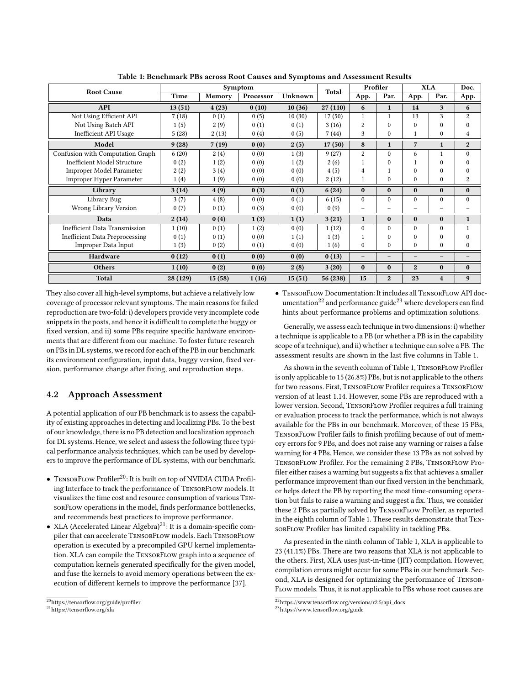<span id="page-7-0"></span>

| <b>Root Cause</b>                     | Symptom  |        |           |         | Total    | Profiler       |                | <b>XLA</b>     |                          | Doc.                     |
|---------------------------------------|----------|--------|-----------|---------|----------|----------------|----------------|----------------|--------------------------|--------------------------|
|                                       | Time     | Memory | Processor | Unknown |          | App.           | Par.           | App.           | Par.                     | $\overline{App}$ .       |
| <b>API</b>                            | 13(51)   | 4(23)  | 0(10)     | 10(36)  | 27(110)  | 6              | $\mathbf{1}$   | 14             | 3                        | 6                        |
| Not Using Efficient API               | 7(18)    | 0(1)   | 0(5)      | 10(30)  | 17(50)   | $\mathbf{1}$   |                | 13             | 3                        | $\overline{2}$           |
| Not Using Batch API                   | 1(5)     | 2(9)   | 0(1)      | 0(1)    | 3(16)    | 2              | $\Omega$       | $\Omega$       | $\Omega$                 | $\theta$                 |
| Inefficient API Usage                 | 5(28)    | 2(13)  | 0(4)      | 0(5)    | 7(44)    | 3              | $\Omega$       |                | $\theta$                 | 4                        |
| Model                                 | 9(28)    | 7(19)  | 0(0)      | 2(5)    | 17(50)   | 8              | $\mathbf{1}$   | $\overline{7}$ | $\mathbf{1}$             | $\overline{2}$           |
| Confusion with Computation Graph      | 6(20)    | 2(4)   | 0(0)      | 1(3)    | 9(27)    | $\overline{c}$ | $\Omega$       | 6              | 1                        | $\theta$                 |
| <b>Inefficient Model Structure</b>    | 0(2)     | 1(2)   | 0(0)      | 1(2)    | 2(6)     | 1              | $\Omega$       | $\mathbf{1}$   | $\theta$                 | $\theta$                 |
| Improper Model Parameter              | 2(2)     | 3(4)   | 0(0)      | 0(0)    | 4(5)     | 4              |                | $\Omega$       | 0                        | $\Omega$                 |
| <b>Improper Hyper Parameter</b>       | 1(4)     | 1(9)   | 0(0)      | 0(0)    | 2(12)    | $\mathbf{1}$   | $\Omega$       | $\Omega$       | $\Omega$                 | $\overline{2}$           |
| Library                               | 3(14)    | 4(9)   | 0(3)      | 0(1)    | 6(24)    | $\bf{0}$       | $\bf{0}$       | $\bf{0}$       | $\bf{0}$                 | $\bf{0}$                 |
| Library Bug                           | 3(7)     | 4(8)   | 0(0)      | 0(1)    | 6(15)    | $\mathbf{0}$   | $\Omega$       | $\Omega$       | $\theta$                 | $\mathbf{0}$             |
| Wrong Library Version                 | 0(7)     | 0(1)   | 0(3)      | 0(0)    | 0(9)     | -              |                |                |                          |                          |
| Data                                  | 2(14)    | 0(4)   | 1(3)      | 1(1)    | 3(21)    | $\mathbf{1}$   | $\bf{0}$       | $\bf{0}$       | $\bf{0}$                 | $\mathbf{1}$             |
| <b>Inefficient Data Transmission</b>  | 1(10)    | 0(1)   | 1(2)      | 0(0)    | 1(12)    | $\Omega$       | $\Omega$       | $\Omega$       | $\Omega$                 | $\mathbf{1}$             |
| <b>Inefficient Data Preprocessing</b> | 0(1)     | 0(1)   | 0(0)      | 1(1)    | 1(3)     |                | $\Omega$       | $\Omega$       | $\Omega$                 | $\theta$                 |
| <b>Improper Data Input</b>            | 1(3)     | 0(2)   | 0(1)      | 0(0)    | 1(6)     | $\Omega$       | $\Omega$       | $\Omega$       | 0                        | $\theta$                 |
| Hardware                              | 0(12)    | 0(1)   | 0(0)      | 0(0)    | 0(13)    | $-$            |                | $-$            | $\overline{\phantom{0}}$ | $\overline{\phantom{0}}$ |
| <b>Others</b>                         | 1(10)    | 0(2)   | 0(0)      | 2(8)    | 3(20)    | $\bf{0}$       | $\bf{0}$       | $\overline{2}$ | $\bf{0}$                 | $\bf{0}$                 |
| <b>Total</b>                          | 28 (129) | 15(58) | 1(16)     | 15(51)  | 56 (238) | 15             | $\overline{2}$ | 23             | $\overline{4}$           | 9                        |

Table 1: Benchmark PBs across Root Causes and Symptoms and Assessment Results

They also cover all high-level symptoms, but achieve a relatively low coverage of processor relevant symptoms. The main reasons for failed reproduction are two-fold: i) developers provide very incomplete code snippets in the posts, and hence it is difficult to complete the buggy or fixed version, and ii) some PBs require specific hardware environments that are different from our machine. To foster future research on PBs in DL systems, we record for each of the PB in our benchmark its environment configuration, input data, buggy version, fixed version, performance change after fixing, and reproduction steps.

## 4.2 Approach Assessment

A potential application of our PB benchmark is to assess the capability of existing approaches in detecting and localizing PBs. To the best of our knowledge, there is no PB detection and localization approach for DL systems. Hence, we select and assess the following three typical performance analysis techniques, which can be used by developers to improve the performance of DL systems, with our benchmark.

- TENSORFLOW Profiler<sup>[20](#page-7-1)</sup>: It is built on top of NVIDIA CUDA Profiling Interface to track the performance of TensorFlow models. It visualizes the time cost and resource consumption of various TensorFlow operations in the model, finds performance bottlenecks, and recommends best practices to improve performance.
- XLA (Accelerated Linear Algebra)<sup>[21](#page-7-2)</sup>: It is a domain-specific compiler that can accelerate TensorFlow models. Each TensorFlow operation is executed by a precompiled GPU kernel implementation. XLA can compile the TensorFlow graph into a sequence of computation kernels generated specifically for the given model, and fuse the kernels to avoid memory operations between the execution of different kernels to improve the performance [\[37\]](#page-11-11).

• TensorFlow Documentation: It includes all TensorFlow API doc-umentation<sup>[22](#page-7-3)</sup> and performance guide<sup>[23](#page-7-4)</sup> where developers can find hints about performance problems and optimization solutions.

Generally, we assess each technique in two dimensions: i) whether a technique is applicable to a PB (or whether a PB is in the capability scope of a technique), and ii) whether a technique can solve a PB. The assessment results are shown in the last five columns in Table [1.](#page-7-0)

As shown in the seventh column of Table [1,](#page-7-0) TensorFlow Profiler is only applicable to 15 (26.8%) PBs, but is not applicable to the others for two reasons. First, TensorFlow Profiler requires a TensorFlow version of at least 1.14. However, some PBs are reproduced with a lower version. Second, TensorFlow Profiler requires a full training or evaluation process to track the performance, which is not always available for the PBs in our benchmark. Moreover, of these 15 PBs, TensorFlow Profiler fails to finish profiling because of out of memory errors for 9 PBs, and does not raise any warning or raises a false warning for 4 PBs. Hence, we consider these 13 PBs as not solved by TensorFlow Profiler. For the remaining 2 PBs, TensorFlow Profiler either raises a warning but suggests a fix that achieves a smaller performance improvement than our fixed version in the benchmark, or helps detect the PB by reporting the most time-consuming operation but fails to raise a warning and suggest a fix. Thus, we consider these 2 PBs as partially solved by TensorFlow Profiler, as reported in the eighth column of Table [1.](#page-7-0) These results demonstrate that TensorFlow Profiler has limited capability in tackling PBs.

As presented in the ninth column of Table [1,](#page-7-0) XLA is applicable to 23 (41.1%) PBs. There are two reasons that XLA is not applicable to the others. First, XLA uses just-in-time (JIT) compilation. However, compilation errors might occur for some PBs in our benchmark. Second, XLA is designed for optimizing the performance of Tensor-Flow models. Thus, it is not applicable to PBs whose root causes are

<span id="page-7-1"></span><sup>20</sup>https://tensorflow.org/guide/profiler

<span id="page-7-2"></span><sup>21</sup>https://tensorflow.org/xla

<span id="page-7-3"></span> $\frac{22}{2}$ https://www.tensorflow.org/versions/r2.5/api\_docs

<span id="page-7-4"></span><sup>23</sup>https://www.tensorflow.org/guide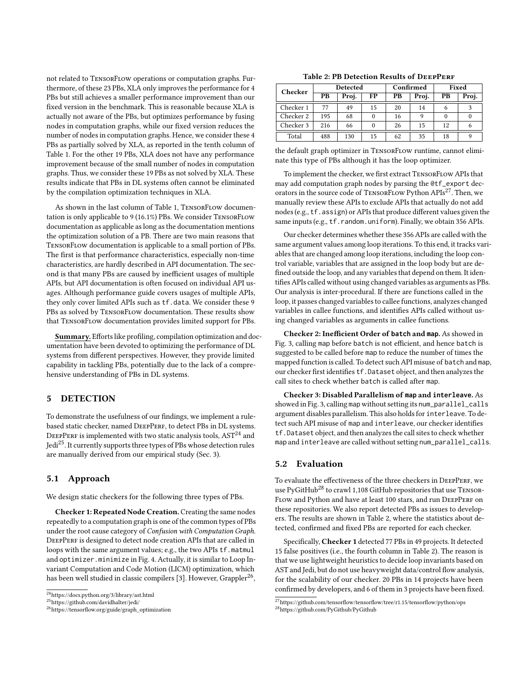not related to TensorFlow operations or computation graphs. Furthermore, of these 23 PBs, XLA only improves the performance for 4 PBs but still achieves a smaller performance improvement than our fixed version in the benchmark. This is reasonable because XLA is actually not aware of the PBs, but optimizes performance by fusing nodes in computation graphs, while our fixed version reduces the number of nodes in computation graphs. Hence, we consider these 4 PBs as partially solved by XLA, as reported in the tenth column of Table [1.](#page-7-0) For the other 19 PBs, XLA does not have any performance improvement because of the small number of nodes in computation graphs. Thus, we consider these 19 PBs as not solved by XLA. These results indicate that PBs in DL systems often cannot be eliminated by the compilation optimization techniques in XLA.

As shown in the last column of Table [1,](#page-7-0) TENSORFLOW documentation is only applicable to 9 (16.1%) PBs. We consider TensorFlow documentation as applicable as long as the documentation mentions the optimization solution of a PB. There are two main reasons that TensorFlow documentation is applicable to a small portion of PBs. The first is that performance characteristics, especially non-time characteristics, are hardly described in API documentation. The second is that many PBs are caused by inefficient usages of multiple APIs, but API documentation is often focused on individual API usages. Although performance guide covers usages of multiple APIs, they only cover limited APIs such as tf.data. We consider these 9 PBs as solved by TENSORFLOW documentation. These results show that TensorFlow documentation provides limited support for PBs.

Summary. Efforts like profiling, compilation optimization and documentation have been devoted to optimizing the performance of DL systems from different perspectives. However, they provide limited capability in tackling PBs, potentially due to the lack of a comprehensive understanding of PBs in DL systems.

## 5 DETECTION

To demonstrate the usefulness of our findings, we implement a rulebased static checker, named DEEPPERF, to detect PBs in DL systems. DEEPPERF is implemented with two static analysis tools,  $AST^{24}$  $AST^{24}$  $AST^{24}$  and Jedi[25](#page-8-1). It currently supports three types of PBs whose detection rules are manually derived from our empirical study (Sec. [3\)](#page-2-0).

#### 5.1 Approach

We design static checkers for the following three types of PBs.

Checker 1: Repeated Node Creation. Creating the same nodes repeatedly to a computation graph is one of the common types of PBs under the root cause category of Confusion with Computation Graph. DEEPPERF is designed to detect node creation APIs that are called in loops with the same argument values; e.g., the two APIs tf.matmul and optimizer.minimize in Fig. [4.](#page-4-0) Actually, it is similar to Loop Invariant Computation and Code Motion (LICM) optimization, which has been well studied in classic compilers [\[3\]](#page-10-3). However, Grappler<sup>[26](#page-8-2)</sup>,

<span id="page-8-5"></span>

| Checker   |     | <b>Detected</b> |    |    | Confirmed | Fixed |       |  |
|-----------|-----|-----------------|----|----|-----------|-------|-------|--|
|           | PВ  | Proj.           | FP | PВ | Proj.     | PВ    | Proj. |  |
| Checker 1 | 77  | 49              | 15 | 20 | 14        |       |       |  |
| Checker 2 | 195 | 68              |    | 16 |           |       |       |  |
| Checker 3 | 216 | 66              |    | 26 | 15        | 12    | 6     |  |
| Total     | 488 | 130             | 15 | 62 | 35        | 18    |       |  |

the default graph optimizer in TensorFlow runtime, cannot eliminate this type of PBs although it has the loop optimizer.

To implement the checker, we first extract TensorFlow APIs that may add computation graph nodes by parsing the @tf\_export decorators in the source code of TensorFlow Python APIs[27](#page-8-3). Then, we manually review these APIs to exclude APIs that actually do not add nodes (e.g., tf.assign) or APIs that produce different values given the same inputs (e.g., tf.random.uniform). Finally, we obtain 356 APIs.

Our checker determines whether these 356APIs are called with the same argument values among loop iterations. To this end, it tracks variables that are changed among loop iterations, including the loop control variable, variables that are assigned in the loop body but are defined outside the loop, and any variables that depend on them. It identifies APIs called without using changed variables as arguments as PBs. Our analysis is inter-procedural. If there are functions called in the loop, it passes changed variables to callee functions, analyzes changed variables in callee functions, and identifies APIs called without using changed variables as arguments in callee functions.

Checker 2: Inefficient Order of **batch** and **map**. As showed in Fig. [3,](#page-3-3) calling map before batch is not efficient, and hence batch is suggested to be called before map to reduce the number of times the mapped function is called. To detect such API misuse of batch and map, our checker first identifies tf.Dataset object, and then analyzes the call sites to check whether batch is called after map.

Checker 3: Disabled Parallelism of **map** and **interleave**. As showed in Fig. [3,](#page-3-3) calling map without setting its num\_parallel\_calls argument disables parallelism. This also holds for interleave. To detect such API misuse of map and interleave, our checker identifies tf.Dataset object, and then analyzes the call sites to check whether map and interleave are called without setting num\_parallel\_calls.

### 5.2 Evaluation

To evaluate the effectiveness of the three checkers in DEEPPERF, we use PyGitHub<sup>[28](#page-8-4)</sup> to crawl 1,108 GitHub repositories that use TENSOR-FLOW and Python and have at least 100 stars, and run DEEPPERF on these repositories. We also report detected PBs as issues to developers. The results are shown in Table [2,](#page-8-5) where the statistics about detected, confirmed and fixed PBs are reported for each checker.

Specifically, Checker 1 detected 77 PBs in 49 projects. It detected 15 false positives (i.e., the fourth column in Table [2\)](#page-8-5). The reason is that we use lightweight heuristics to decide loop invariants based on AST and Jedi, but do not use heavyweight data/control flow analysis, for the scalability of our checker. 20 PBs in 14 projects have been confirmed by developers, and 6 of them in 3 projects have been fixed.

<span id="page-8-0"></span> $^{\overline{24}}$ https://docs.python.org/3/library/ast.html

<span id="page-8-1"></span><sup>25</sup>https://github.com/davidhalter/jedi/

<span id="page-8-2"></span><sup>26</sup>https://tensorflow.org/guide/graph\_optimization

<span id="page-8-4"></span><span id="page-8-3"></span> $\overline{^{27}\text{https://github.com/tensorflow/tensorflow/tree/r1.15/tensorflow/python/ops}}$ <sup>28</sup>https://github.com/PyGithub/PyGithub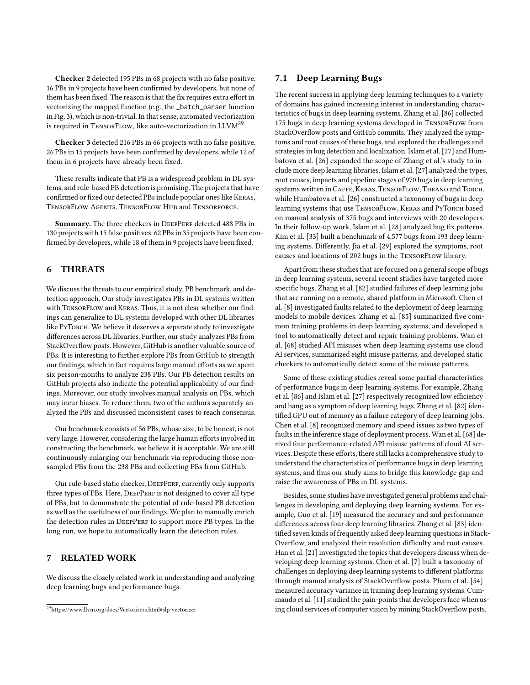Checker 2 detected 195 PBs in 68 projects with no false positive. 16 PBs in 9 projects have been confirmed by developers, but none of them has been fixed. The reason is that the fix requires extra effort in vectorizing the mapped function (e.g., the \_batch\_parser function in Fig. [3\)](#page-3-3), which is non-trivial. In that sense, automated vectorization is required in TENSORFLOW, like auto-vectorization in LLVM<sup>[29](#page-9-0)</sup>.

Checker 3 detected 216 PBs in 66 projects with no false positive. 26 PBs in 15 projects have been confirmed by developers, while 12 of them in 6 projects have already been fixed.

These results indicate that PB is a widespread problem in DL systems, and rule-based PB detection is promising. The projects that have confirmed or fixed our detected PBs include popular ones like Keras, TensorFlow Agents, TensorFlow Hub and Tensorforce.

Summary. The three checkers in DEEPPERF detected 488 PBs in 130 projects with 15 false positives. 62 PBs in 35 projects have been confirmed by developers, while 18 of them in 9 projects have been fixed.

## 6 THREATS

We discuss the threats to our empirical study, PB benchmark, and detection approach. Our study investigates PBs in DL systems written with TensorFlow and Keras. Thus, it is not clear whether our findings can generalize to DL systems developed with other DL libraries like PyTorch. We believe it deserves a separate study to investigate differences across DL libraries. Further, our study analyzes PBs from StackOverflow posts. However, GitHub is another valuable source of PBs. It is interesting to further explore PBs from GitHub to strength our findings, which in fact requires large manual efforts as we spent six person-months to analyze 238 PBs. Our PB detection results on GitHub projects also indicate the potential applicability of our findings. Moreover, our study involves manual analysis on PBs, which may incur biases. To reduce them, two of the authors separately analyzed the PBs and discussed inconsistent cases to reach consensus.

Our benchmark consists of 56 PBs, whose size, to be honest, is not very large. However, considering the large human efforts involved in constructing the benchmark, we believe it is acceptable. We are still continuously enlarging our benchmark via reproducing those nonsampled PBs from the 238 PBs and collecting PBs from GitHub.

Our rule-based static checker, DEEPPERF, currently only supports three types of PBs. Here, DEEPPERF is not designed to cover all type of PBs, but to demonstrate the potential of rule-based PB detection as well as the usefulness of our findings. We plan to manually enrich the detection rules in DEEPPERF to support more PB types. In the long run, we hope to automatically learn the detection rules.

## 7 RELATED WORK

We discuss the closely related work in understanding and analyzing deep learning bugs and performance bugs.

## 7.1 Deep Learning Bugs

The recent success in applying deep learning techniques to a variety of domains has gained increasing interest in understanding characteristics of bugs in deep learning systems. Zhang et al. [\[86\]](#page-12-1) collected 175 bugs in deep learning systems developed in TensorFlow from StackOverflow posts and GitHub commits. They analyzed the symptoms and root causes of these bugs, and explored the challenges and strategies in bug detection and localization. Islam et al. [\[27\]](#page-11-10) and Humbatova et al. [\[26\]](#page-11-2) expanded the scope of Zhang et al.'s study to include more deep learning libraries. Islam et al. [\[27\]](#page-11-10) analyzed the types, root causes, impacts and pipeline stages of 970 bugs in deep learning systems written in Caffe, Keras, TensorFlow, Theano and Torch, while Humbatova et al. [\[26\]](#page-11-2) constructed a taxonomy of bugs in deep learning systems that use TENSORFLOW, KERAS and PYTORCH based on manual analysis of 375 bugs and interviews with 20 developers. In their follow-up work, Islam et al. [\[28\]](#page-11-3) analyzed bug fix patterns. Kim et al. [\[33\]](#page-11-12) built a benchmark of 4,577 bugs from 193 deep learning systems. Differently, Jia et al. [\[29\]](#page-11-13) explored the symptoms, root causes and locations of 202 bugs in the TensorFlow library.

Apart from these studies that are focused on a general scope of bugs in deep learning systems, several recent studies have targeted more specific bugs. Zhang et al. [\[82\]](#page-12-3) studied failures of deep learning jobs that are running on a remote, shared platform in Microsoft. Chen et al. [\[8\]](#page-10-2) investigated faults related to the deployment of deep learning models to mobile devices. Zhang et al. [\[85\]](#page-12-4) summarized five common training problems in deep learning systems, and developed a tool to automatically detect and repair training problems. Wan et al. [\[68\]](#page-12-2) studied API misuses when deep learning systems use cloud AI services, summarized eight misuse patterns, and developed static checkers to automatically detect some of the misuse patterns.

Some of these existing studies reveal some partial characteristics of performance bugs in deep learning systems. For example, Zhang et al. [\[86\]](#page-12-1) and Islam et al. [\[27\]](#page-11-10) respectively recognized low efficiency and hang as a symptom of deep learning bugs. Zhang et al. [\[82\]](#page-12-3) identified GPU out of memory as a failure category of deep learning jobs. Chen et al. [\[8\]](#page-10-2) recognized memory and speed issues as two types of faults in the inference stage of deployment process. Wan et al. [\[68\]](#page-12-2) derived four performance-related API misuse patterns of cloud AI services. Despite these efforts, there still lacks a comprehensive study to understand the characteristics of performance bugs in deep learning systems, and thus our study aims to bridge this knowledge gap and raise the awareness of PBs in DL systems.

Besides, some studies have investigated general problems and challenges in developing and deploying deep learning systems. For example, Guo et al. [\[19\]](#page-11-14) measured the accuracy and and performance differences across four deep learning libraries. Zhang et al. [\[83\]](#page-12-0) identified seven kinds of frequently asked deep learning questions in Stack-Overflow, and analyzed their resolution difficulty and root causes. Han et al. [\[21\]](#page-11-0) investigated the topics that developers discuss when developing deep learning systems. Chen et al. [\[7\]](#page-10-1) built a taxonomy of challenges in deploying deep learning systems to different platforms through manual analysis of StackOverflow posts. Pham et al. [\[54\]](#page-12-12) measured accuracy variance in training deep learning systems. Cummaudo et al. [\[11\]](#page-11-15) studied the pain-points that developers face when using cloud services of computer vision by mining StackOverflow posts.

<span id="page-9-0"></span><sup>29</sup>https://www.llvm.org/docs/Vectorizers.html#slp-vectorizer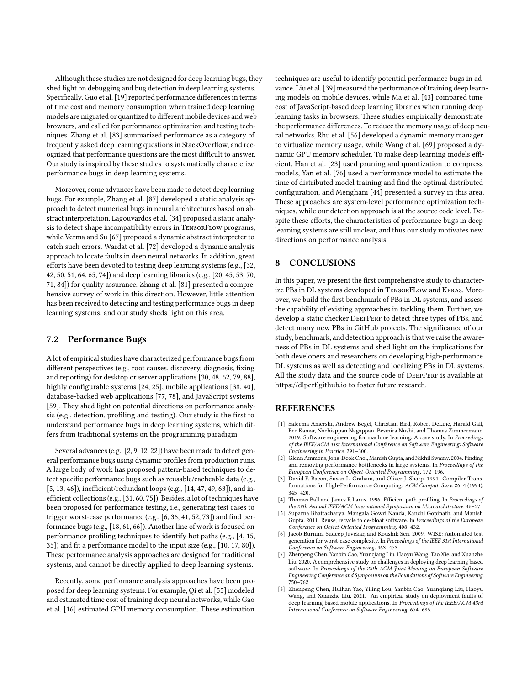Although these studies are not designed for deep learning bugs, they shed light on debugging and bug detection in deep learning systems. Specifically, Guo et al. [\[19\]](#page-11-14) reported performance differences in terms of time cost and memory consumption when trained deep learning models are migrated or quantized to different mobile devices and web browsers, and called for performance optimization and testing techniques. Zhang et al. [\[83\]](#page-12-0) summarized performance as a category of frequently asked deep learning questions in StackOverflow, and recognized that performance questions are the most difficult to answer. Our study is inspired by these studies to systematically characterize performance bugs in deep learning systems.

Moreover, some advances have been made to detect deep learning bugs. For example, Zhang et al. [\[87\]](#page-12-13) developed a static analysis approach to detect numerical bugs in neural architectures based on abstract interpretation. Lagouvardos et al. [\[34\]](#page-11-16) proposed a static analysis to detect shape incompatibility errors in TensorFlow programs, while Verma and Su [\[67\]](#page-12-14) proposed a dynamic abstract interpreter to catch such errors. Wardat et al. [\[72\]](#page-12-15) developed a dynamic analysis approach to locate faults in deep neural networks. In addition, great efforts have been devoted to testing deep learning systems (e.g., [\[32,](#page-11-17) [42,](#page-11-18) [50,](#page-11-19) [51,](#page-11-20) [64,](#page-12-16) [65,](#page-12-17) [74\]](#page-12-18)) and deep learning libraries (e.g., [\[20,](#page-11-21) [45,](#page-11-22) [53,](#page-11-23) [70,](#page-12-19) [71,](#page-12-20) [84\]](#page-12-21)) for quality assurance. Zhang et al. [\[81\]](#page-12-22) presented a comprehensive survey of work in this direction. However, little attention has been received to detecting and testing performance bugs in deep learning systems, and our study sheds light on this area.

## 7.2 Performance Bugs

A lot of empirical studies have characterized performance bugs from different perspectives (e.g., root causes, discovery, diagnosis, fixing and reporting) for desktop or server applications [\[30,](#page-11-4) [48,](#page-11-5) [62,](#page-12-5) [79,](#page-12-6) [88\]](#page-12-23), highly configurable systems [\[24,](#page-11-6) [25\]](#page-11-7), mobile applications [\[38,](#page-11-8) [40\]](#page-11-9), database-backed web applications [\[77,](#page-12-7) [78\]](#page-12-8), and JavaScript systems [\[59\]](#page-12-9). They shed light on potential directions on performance analysis (e.g., detection, profiling and testing). Our study is the first to understand performance bugs in deep learning systems, which differs from traditional systems on the programming paradigm.

Several advances (e.g., [\[2,](#page-10-4) [9,](#page-11-24) [12,](#page-11-25) [22\]](#page-11-26)) have been made to detect general performance bugs using dynamic profiles from production runs. A large body of work has proposed pattern-based techniques to detect specific performance bugs such as reusable/cacheable data (e.g., [\[5,](#page-10-5) [13,](#page-11-27) [46\]](#page-11-28)), inefficient/redundant loops (e.g., [\[14,](#page-11-29) [47,](#page-11-30) [49,](#page-11-31) [63\]](#page-12-24)), and inefficient collections (e.g., [\[31,](#page-11-32) [60,](#page-12-25) [75\]](#page-12-26)). Besides, a lot of techniques have been proposed for performance testing, i.e., generating test cases to trigger worst-case performance (e.g., [\[6,](#page-10-6) [36,](#page-11-33) [41,](#page-11-34) [52,](#page-11-35) [73\]](#page-12-27)) and find performance bugs (e.g., [\[18,](#page-11-36) [61,](#page-12-28) [66\]](#page-12-29)). Another line of work is focused on performance profiling techniques to identify hot paths (e.g., [\[4,](#page-10-7) [15,](#page-11-37) [35\]](#page-11-38)) and fit a performance model to the input size (e.g., [\[10,](#page-11-39) [17,](#page-11-40) [80\]](#page-12-30)). These performance analysis approaches are designed for traditional systems, and cannot be directly applied to deep learning systems.

Recently, some performance analysis approaches have been proposed for deep learning systems. For example, Qi et al. [\[55\]](#page-12-31) modeled and estimated time cost of training deep neural networks, while Gao et al. [\[16\]](#page-11-41) estimated GPU memory consumption. These estimation

techniques are useful to identify potential performance bugs in advance. Liu et al. [\[39\]](#page-11-42) measured the performance of training deep learning models on mobile devices, while Ma et al. [\[43\]](#page-11-43) compared time cost of JavaScript-based deep learning libraries when running deep learning tasks in browsers. These studies empirically demonstrate the performance differences. To reduce the memory usage of deep neural networks, Rhu et al. [\[56\]](#page-12-32) developed a dynamic memory manager to virtualize memory usage, while Wang et al. [\[69\]](#page-12-33) proposed a dynamic GPU memory scheduler. To make deep learning models efficient, Han et al. [\[23\]](#page-11-44) used pruning and quantization to compress models, Yan et al. [\[76\]](#page-12-34) used a performance model to estimate the time of distributed model training and find the optimal distributed configuration, and Menghani [\[44\]](#page-11-1) presented a survey in this area. These approaches are system-level performance optimization techniques, while our detection approach is at the source code level. Despite these efforts, the characteristics of performance bugs in deep learning systems are still unclear, and thus our study motivates new directions on performance analysis.

# 8 CONCLUSIONS

In this paper, we present the first comprehensive study to characterize PBs in DL systems developed in TensorFLow and Keras. Moreover, we build the first benchmark of PBs in DL systems, and assess the capability of existing approaches in tackling them. Further, we develop a static checker DEEPPERF to detect three types of PBs, and detect many new PBs in GitHub projects. The significance of our study, benchmark, and detection approach is that we raise the awareness of PBs in DL systems and shed light on the implications for both developers and researchers on developing high-performance DL systems as well as detecting and localizing PBs in DL systems. All the study data and the source code of DEEPPERF is available at <https://dlperf.github.io> to foster future research.

## REFERENCES

- <span id="page-10-0"></span>[1] Saleema Amershi, Andrew Begel, Christian Bird, Robert DeLine, Harald Gall, Ece Kamar, Nachiappan Nagappan, Besmira Nushi, and Thomas Zimmermann. 2019. Software engineering for machine learning: A case study. In Proceedings of the IEEE/ACM 41st International Conference on Software Engineering: Software Engineering in Practice. 291–300.
- <span id="page-10-4"></span>[2] Glenn Ammons, Jong-Deok Choi, Manish Gupta, and Nikhil Swamy. 2004. Finding and removing performance bottlenecks in large systems. In Proceedings of the European Conference on Object-Oriented Programming. 172–196.
- <span id="page-10-3"></span>[3] David F. Bacon, Susan L. Graham, and Oliver J. Sharp. 1994. Compiler Transformations for High-Performance Computing. ACM Comput. Surv. 26, 4 (1994), 345–420.
- <span id="page-10-7"></span>[4] Thomas Ball and James R Larus. 1996. Efficient path profiling. In Proceedings of the 29th Annual IEEE/ACM International Symposium on Microarchitecture. 46–57.
- <span id="page-10-5"></span>[5] Suparna Bhattacharya, Mangala Gowri Nanda, Kanchi Gopinath, and Manish Gupta. 2011. Reuse, recycle to de-bloat software. In Proceedings of the European Conference on Object-Oriented Programming. 408–432.
- <span id="page-10-6"></span>[6] Jacob Burnim, Sudeep Juvekar, and Koushik Sen. 2009. WISE: Automated test generation for worst-case complexity. In Proceedings of the IEEE 31st International Conference on Software Engineering. 463–473.
- <span id="page-10-1"></span>[7] Zhenpeng Chen, Yanbin Cao, Yuanqiang Liu, Haoyu Wang, Tao Xie, and Xuanzhe Liu. 2020. A comprehensive study on challenges in deploying deep learning based software. In Proceedings of the 28th ACM Joint Meeting on European Software Engineering Conference and Symposium on the Foundations of Software Engineering. 750–762.
- <span id="page-10-2"></span>[8] Zhenpeng Chen, Huihan Yao, Yiling Lou, Yanbin Cao, Yuanqiang Liu, Haoyu Wang, and Xuanzhe Liu. 2021. An empirical study on deployment faults of deep learning based mobile applications. In Proceedings of the IEEE/ACM 43rd International Conference on Software Engineering. 674–685.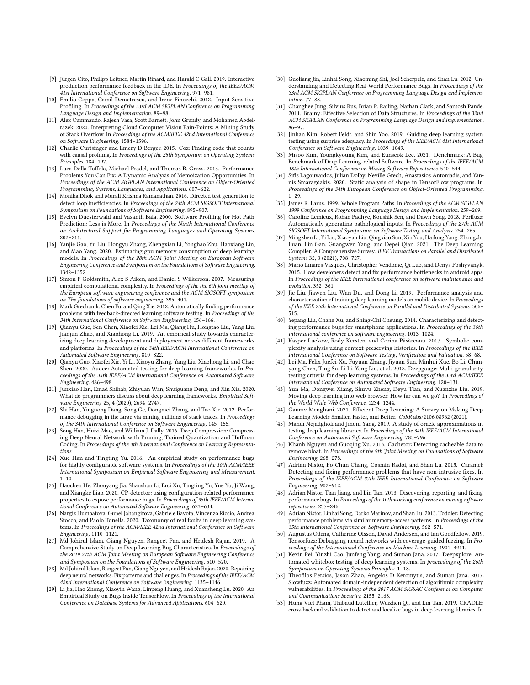- <span id="page-11-24"></span>[9] Jürgen Cito, Philipp Leitner, Martin Rinard, and Harald C Gall. 2019. Interactive production performance feedback in the IDE. In Proceedings of the IEEE/ACM 41st International Conference on Software Engineering. 971–981.
- <span id="page-11-39"></span>[10] Emilio Coppa, Camil Demetrescu, and Irene Finocchi. 2012. Input-Sensitive Profiling. In Proceedings of the 33rd ACM SIGPLAN Conference on Programming Language Design and Implementation. 89–98.
- <span id="page-11-15"></span>[11] Alex Cummaudo, Rajesh Vasa, Scott Barnett, John Grundy, and Mohamed Abdelrazek. 2020. Interpreting Cloud Computer Vision Pain-Points: A Mining Study of Stack Overflow. In Proceedings of the ACM/IEEE 42nd International Conference on Software Engineering. 1584–1596.
- <span id="page-11-25"></span>[12] Charlie Curtsinger and Emery D Berger. 2015. Coz: Finding code that counts with causal profiling. In Proceedings of the 25th Symposium on Operating Systems Principles. 184–197.
- <span id="page-11-27"></span>[13] Luca Della Toffola, Michael Pradel, and Thomas R. Gross. 2015. Performance Problems You Can Fix: A Dynamic Analysis of Memoization Opportunities. In Proceedings of the ACM SIGPLAN International Conference on Object-Oriented Programming, Systems, Languages, and Applications. 607–622.
- <span id="page-11-29"></span>[14] Monika Dhok and Murali Krishna Ramanathan. 2016. Directed test generation to detect loop inefficiencies. In Proceedings of the 24th ACM SIGSOFT International Symposium on Foundations of Software Engineering. 895–907.
- <span id="page-11-37"></span>[15] Evelyn Duesterwald and Vasanth Bala. 2000. Software Profiling for Hot Path Prediction: Less is More. In Proceedings of the Ninth International Conference on Architectural Support for Programming Languages and Operating Systems. 202–211.
- <span id="page-11-41"></span>[16] Yanjie Gao, Yu Liu, Hongyu Zhang, Zhengxian Li, Yonghao Zhu, Haoxiang Lin, and Mao Yang. 2020. Estimating gpu memory consumption of deep learning models. In Proceedings of the 28th ACM Joint Meeting on European Software Engineering Conference and Symposium on the Foundations of Software Engineering. 1342–1352.
- <span id="page-11-40"></span>[17] Simon F Goldsmith, Alex S Aiken, and Daniel S Wilkerson. 2007. Measuring empirical computational complexity. In Proceedings of the the 6th joint meeting of the European software engineering conference and the ACM SIGSOFT symposium on The foundations of software engineering. 395–404.
- <span id="page-11-36"></span>[18] Mark Grechanik, Chen Fu, and Qing Xie. 2012. Automatically finding performance problems with feedback-directed learning software testing. In Proceedings of the 34th International Conference on Software Engineering. 156–166.
- <span id="page-11-14"></span>[19] Qianyu Guo, Sen Chen, Xiaofei Xie, Lei Ma, Qiang Hu, Hongtao Liu, Yang Liu, Jianjun Zhao, and Xiaohong Li. 2019. An empirical study towards characterizing deep learning development and deployment across different frameworks and platforms. In Proceedings of the 34th IEEE/ACM International Conference on Automated Software Engineering. 810–822.
- <span id="page-11-21"></span>[20] Qianyu Guo, Xiaofei Xie, Yi Li, Xiaoyu Zhang, Yang Liu, Xiaohong Li, and Chao Shen. 2020. Audee: Automated testing for deep learning frameworks. In Proceedings of the 35th IEEE/ACM International Conference on Automated Software Engineering. 486–498.
- <span id="page-11-0"></span>[21] Junxiao Han, Emad Shihab, Zhiyuan Wan, Shuiguang Deng, and Xin Xia. 2020. What do programmers discuss about deep learning frameworks. Empirical Software Engineering 25, 4 (2020), 2694–2747.
- <span id="page-11-26"></span>[22] Shi Han, Yingnong Dang, Song Ge, Dongmei Zhang, and Tao Xie. 2012. Performance debugging in the large via mining millions of stack traces. In Proceedings of the 34th International Conference on Software Engineering. 145–155.
- <span id="page-11-44"></span>[23] Song Han, Huizi Mao, and William J. Dally. 2016. Deep Compression: Compressing Deep Neural Network with Pruning, Trained Quantization and Huffman Coding. In Proceedings of the 4th International Conference on Learning Representations.
- <span id="page-11-6"></span>[24] Xue Han and Tingting Yu. 2016. An empirical study on performance bugs for highly configurable software systems. In Proceedings of the 10th ACM/IEEE International Symposium on Empirical Software Engineering and Measurement.  $1 - 10$
- <span id="page-11-7"></span>[25] Haochen He, Zhouyang Jia, Shanshan Li, Erci Xu, Tingting Yu, Yue Yu, Ji Wang, and Xiangke Liao. 2020. CP-detector: using configuration-related performance properties to expose performance bugs. In Proceedings of 35th IEEE/ACM International Conference on Automated Software Engineering. 623–634.
- <span id="page-11-2"></span>[26] Nargiz Humbatova, Gunel Jahangirova, Gabriele Bavota, Vincenzo Riccio, Andrea Stocco, and Paolo Tonella. 2020. Taxonomy of real faults in deep learning systems. In Proceedings of the ACM/IEEE 42nd International Conference on Software Engineering. 1110–1121.
- <span id="page-11-10"></span>[27] Md Johirul Islam, Giang Nguyen, Rangeet Pan, and Hridesh Rajan. 2019. A Comprehensive Study on Deep Learning Bug Characteristics. In Proceedings of the 2019 27th ACM Joint Meeting on European Software Engineering Conference and Symposium on the Foundations of Software Engineering. 510–520.
- <span id="page-11-3"></span>[28] Md Johirul Islam, Rangeet Pan, Giang Nguyen, and Hridesh Rajan. 2020. Repairing deep neural networks: Fix patterns and challenges. In Proceedings of the IEEE/ACM 42nd International Conference on Software Engineering. 1135–1146.
- <span id="page-11-13"></span>[29] Li Jia, Hao Zhong, Xiaoyin Wang, Linpeng Huang, and Xuansheng Lu. 2020. An Empirical Study on Bugs Inside TensorFlow. In Proceedings of the International Conference on Database Systems for Advanced Applications. 604–620.
- <span id="page-11-4"></span>[30] Guoliang Jin, Linhai Song, Xiaoming Shi, Joel Scherpelz, and Shan Lu. 2012. Understanding and Detecting Real-World Performance Bugs. In Proceedings of the 33rd ACM SIGPLAN Conference on Programming Language Design and Implementation. 77–88.
- <span id="page-11-32"></span>[31] Changhee Jung, Silvius Rus, Brian P. Railing, Nathan Clark, and Santosh Pande. 2011. Brainy: Effective Selection of Data Structures. In Proceedings of the 32nd ACM SIGPLAN Conference on Programming Language Design and Implementation. 86–97.
- <span id="page-11-17"></span>[32] Jinhan Kim, Robert Feldt, and Shin Yoo. 2019. Guiding deep learning system testing using surprise adequacy. In Proceedings of the IEEE/ACM 41st International Conference on Software Engineering. 1039–1049.
- <span id="page-11-12"></span>[33] Misoo Kim, Youngkyoung Kim, and Eunseok Lee. 2021. Denchmark: A Bug Benchmark of Deep Learning-related Software. In Proceedings of the IEEE/ACM 18th International Conference on Mining Software Repositories. 540–544.
- <span id="page-11-16"></span>[34] Sifis Lagouvardos, Julian Dolby, Neville Grech, Anastasios Antoniadis, and Yannis Smaragdakis. 2020. Static analysis of shape in TensorFlow programs. In Proceedings of the 34th European Conference on Object-Oriented Programming. 1–29.
- <span id="page-11-38"></span>[35] James R. Larus. 1999. Whole Program Paths. In Proceedings of the ACM SIGPLAN 1999 Conference on Programming Language Design and Implementation. 259–269.
- <span id="page-11-33"></span>[36] Caroline Lemieux, Rohan Padhye, Koushik Sen, and Dawn Song. 2018. Perffuzz: Automatically generating pathological inputs. In Proceedings of the 27th ACM SIGSOFT International Symposium on Software Testing and Analysis. 254–265.
- <span id="page-11-11"></span>[37] Mingzhen Li, Yi Liu, Xiaoyan Liu, Qingxiao Sun, Xin You, Hailong Yang, Zhongzhi Luan, Lin Gan, Guangwen Yang, and Depei Qian. 2021. The Deep Learning Compiler: A Comprehensive Survey. IEEE Transactions on Parallel and Distributed Systems 32, 3 (2021), 708-727.
- <span id="page-11-8"></span>[38] Mario Linares-Vasquez, Christopher Vendome, Qi Luo, and Denys Poshyvanyk. 2015. How developers detect and fix performance bottlenecks in android apps. In Proceedings of the IEEE international conference on software maintenance and evolution. 352–361.
- <span id="page-11-42"></span>[39] Jie Liu, Jiawen Liu, Wan Du, and Dong Li. 2019. Performance analysis and characterization of training deep learning models on mobile device. In Proceedings of the IEEE 25th International Conference on Parallel and Distributed Systems. 506– 515.
- <span id="page-11-9"></span>[40] Yepang Liu, Chang Xu, and Shing-Chi Cheung. 2014. Characterizing and detecting performance bugs for smartphone applications. In Proceedings of the 36th international conference on software engineering. 1013–1024.
- <span id="page-11-34"></span>[41] Kasper Luckow, Rody Kersten, and Corina Păsăreanu. 2017. Symbolic complexity analysis using context-preserving histories. In Proceedings of the IEEE International Conference on Software Testing, Verification and Validation. 58–68.
- <span id="page-11-18"></span>[42] Lei Ma, Felix Juefei-Xu, Fuyuan Zhang, Jiyuan Sun, Minhui Xue, Bo Li, Chunyang Chen, Ting Su, Li Li, Yang Liu, et al. 2018. Deepgauge: Multi-granularity testing criteria for deep learning systems. In Proceedings of the 33rd ACM/IEEE International Conference on Automated Software Engineering. 120–131.
- <span id="page-11-43"></span>[43] Yun Ma, Dongwei Xiang, Shuyu Zheng, Deyu Tian, and Xuanzhe Liu. 2019. Moving deep learning into web browser: How far can we go?. In Proceedings of the World Wide Web Conference. 1234–1244.
- <span id="page-11-1"></span>[44] Gaurav Menghani. 2021. Efficient Deep Learning: A Survey on Making Deep Learning Models Smaller, Faster, and Better. CoRR abs/2106.08962 (2021).
- <span id="page-11-22"></span>[45] Mahdi Nejadgholi and Jinqiu Yang. 2019. A study of oracle approximations in testing deep learning libraries. In Proceedings of the 34th IEEE/ACM International Conference on Automated Software Engineering. 785–796.
- <span id="page-11-28"></span>[46] Khanh Nguyen and Guoqing Xu. 2013. Cachetor: Detecting cacheable data to remove bloat. In Proceedings of the 9th Joint Meeting on Foundations of Software Engineering. 268–278.
- <span id="page-11-30"></span>[47] Adrian Nistor, Po-Chun Chang, Cosmin Radoi, and Shan Lu. 2015. Caramel: Detecting and fixing performance problems that have non-intrusive fixes. In Proceedings of the IEEE/ACM 37th IEEE International Conference on Software Engineering. 902–912.
- <span id="page-11-5"></span>[48] Adrian Nistor, Tian Jiang, and Lin Tan. 2013. Discovering, reporting, and fixing performance bugs. In Proceedings of the 10th working conference on mining software repositories. 237–246.
- <span id="page-11-31"></span>[49] Adrian Nistor, Linhai Song, Darko Marinov, and Shan Lu. 2013. Toddler: Detecting performance problems via similar memory-access patterns. In Proceedings of the 35th International Conference on Software Engineering. 562–571.
- <span id="page-11-19"></span>[50] Augustus Odena, Catherine Olsson, David Andersen, and Ian Goodfellow. 2019. Tensorfuzz: Debugging neural networks with coverage-guided fuzzing. In Proceedings of the International Conference on Machine Learning. 4901–4911.
- <span id="page-11-20"></span>[51] Kexin Pei, Yinzhi Cao, Junfeng Yang, and Suman Jana. 2017. Deepxplore: Automated whitebox testing of deep learning systems. In proceedings of the 26th Symposium on Operating Systems Principles. 1–18.
- <span id="page-11-35"></span>[52] Theofilos Petsios, Jason Zhao, Angelos D Keromytis, and Suman Jana. 2017. Slowfuzz: Automated domain-independent detection of algorithmic complexity vulnerabilities. In Proceedings of the 2017 ACM SIGSAC Conference on Computer and Communications Security. 2155–2168.
- <span id="page-11-23"></span>[53] Hung Viet Pham, Thibaud Lutellier, Weizhen Qi, and Lin Tan. 2019. CRADLE: cross-backend validation to detect and localize bugs in deep learning libraries. In